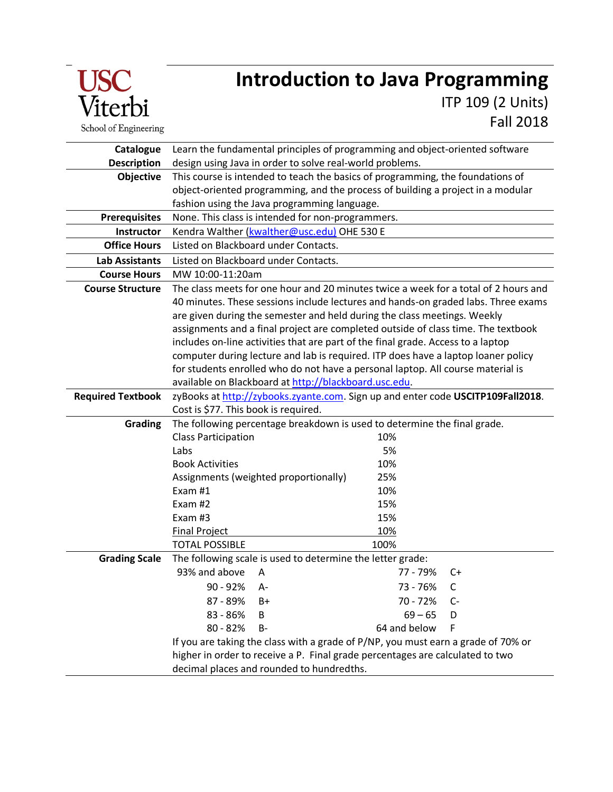# USC<br>Viterbi School of Engineering

## **Introduction to Java Programming**

ITP 109 (2 Units) Fall 2018

| Catalogue                | Learn the fundamental principles of programming and object-oriented software                                  |                                                                                 |  |  |
|--------------------------|---------------------------------------------------------------------------------------------------------------|---------------------------------------------------------------------------------|--|--|
| <b>Description</b>       | design using Java in order to solve real-world problems.                                                      |                                                                                 |  |  |
| Objective                | This course is intended to teach the basics of programming, the foundations of                                |                                                                                 |  |  |
|                          | object-oriented programming, and the process of building a project in a modular                               |                                                                                 |  |  |
|                          | fashion using the Java programming language.                                                                  |                                                                                 |  |  |
| <b>Prerequisites</b>     | None. This class is intended for non-programmers.                                                             |                                                                                 |  |  |
| Instructor               | Kendra Walther (kwalther@usc.edu) OHE 530 E                                                                   |                                                                                 |  |  |
| <b>Office Hours</b>      | Listed on Blackboard under Contacts.                                                                          |                                                                                 |  |  |
| <b>Lab Assistants</b>    | Listed on Blackboard under Contacts.                                                                          |                                                                                 |  |  |
| <b>Course Hours</b>      | MW 10:00-11:20am                                                                                              |                                                                                 |  |  |
| <b>Course Structure</b>  | The class meets for one hour and 20 minutes twice a week for a total of 2 hours and                           |                                                                                 |  |  |
|                          | 40 minutes. These sessions include lectures and hands-on graded labs. Three exams                             |                                                                                 |  |  |
|                          | are given during the semester and held during the class meetings. Weekly                                      |                                                                                 |  |  |
|                          | assignments and a final project are completed outside of class time. The textbook                             |                                                                                 |  |  |
|                          | includes on-line activities that are part of the final grade. Access to a laptop                              |                                                                                 |  |  |
|                          | computer during lecture and lab is required. ITP does have a laptop loaner policy                             |                                                                                 |  |  |
|                          | for students enrolled who do not have a personal laptop. All course material is                               |                                                                                 |  |  |
|                          |                                                                                                               | available on Blackboard at http://blackboard.usc.edu.                           |  |  |
| <b>Required Textbook</b> |                                                                                                               | zyBooks at http://zybooks.zyante.com. Sign up and enter code USCITP109Fall2018. |  |  |
| Grading                  | Cost is \$77. This book is required.                                                                          |                                                                                 |  |  |
|                          | The following percentage breakdown is used to determine the final grade.<br><b>Class Participation</b><br>10% |                                                                                 |  |  |
|                          | Labs                                                                                                          | 5%                                                                              |  |  |
|                          | <b>Book Activities</b>                                                                                        | 10%                                                                             |  |  |
|                          | Assignments (weighted proportionally)                                                                         | 25%                                                                             |  |  |
|                          | Exam $#1$                                                                                                     | 10%                                                                             |  |  |
|                          | Exam #2                                                                                                       | 15%                                                                             |  |  |
|                          | Exam #3                                                                                                       | 15%                                                                             |  |  |
|                          | <b>Final Project</b>                                                                                          | 10%                                                                             |  |  |
|                          | <b>TOTAL POSSIBLE</b>                                                                                         | 100%                                                                            |  |  |
| <b>Grading Scale</b>     | The following scale is used to determine the letter grade:                                                    |                                                                                 |  |  |
|                          | 93% and above<br>A                                                                                            | 77 - 79%<br>$C+$                                                                |  |  |
|                          | 90 - 92%<br>A-                                                                                                | 73 - 76% C                                                                      |  |  |
|                          | 87 - 89%<br>B+                                                                                                | 70 - 72%<br>C-                                                                  |  |  |
|                          | 83 - 86%<br>B                                                                                                 | $69 - 65$<br>D                                                                  |  |  |
|                          | 80 - 82%<br><b>B-</b>                                                                                         | 64 and below<br>F                                                               |  |  |
|                          | If you are taking the class with a grade of P/NP, you must earn a grade of 70% or                             |                                                                                 |  |  |
|                          | higher in order to receive a P. Final grade percentages are calculated to two                                 |                                                                                 |  |  |
|                          | decimal places and rounded to hundredths.                                                                     |                                                                                 |  |  |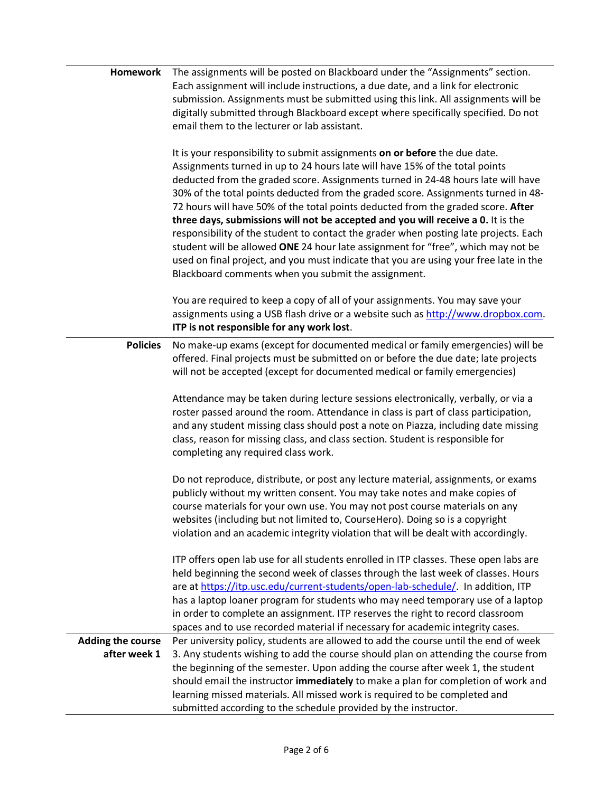| Homework                                 | The assignments will be posted on Blackboard under the "Assignments" section.<br>Each assignment will include instructions, a due date, and a link for electronic<br>submission. Assignments must be submitted using this link. All assignments will be<br>digitally submitted through Blackboard except where specifically specified. Do not<br>email them to the lecturer or lab assistant.                                                                                                                                                                                                                                                                                                                                                                                                                                          |  |  |
|------------------------------------------|----------------------------------------------------------------------------------------------------------------------------------------------------------------------------------------------------------------------------------------------------------------------------------------------------------------------------------------------------------------------------------------------------------------------------------------------------------------------------------------------------------------------------------------------------------------------------------------------------------------------------------------------------------------------------------------------------------------------------------------------------------------------------------------------------------------------------------------|--|--|
|                                          | It is your responsibility to submit assignments on or before the due date.<br>Assignments turned in up to 24 hours late will have 15% of the total points<br>deducted from the graded score. Assignments turned in 24-48 hours late will have<br>30% of the total points deducted from the graded score. Assignments turned in 48-<br>72 hours will have 50% of the total points deducted from the graded score. After<br>three days, submissions will not be accepted and you will receive a 0. It is the<br>responsibility of the student to contact the grader when posting late projects. Each<br>student will be allowed ONE 24 hour late assignment for "free", which may not be<br>used on final project, and you must indicate that you are using your free late in the<br>Blackboard comments when you submit the assignment. |  |  |
|                                          | You are required to keep a copy of all of your assignments. You may save your<br>assignments using a USB flash drive or a website such as http://www.dropbox.com.<br>ITP is not responsible for any work lost.                                                                                                                                                                                                                                                                                                                                                                                                                                                                                                                                                                                                                         |  |  |
| <b>Policies</b>                          | No make-up exams (except for documented medical or family emergencies) will be<br>offered. Final projects must be submitted on or before the due date; late projects<br>will not be accepted (except for documented medical or family emergencies)<br>Attendance may be taken during lecture sessions electronically, verbally, or via a<br>roster passed around the room. Attendance in class is part of class participation,<br>and any student missing class should post a note on Piazza, including date missing<br>class, reason for missing class, and class section. Student is responsible for<br>completing any required class work.                                                                                                                                                                                          |  |  |
|                                          | Do not reproduce, distribute, or post any lecture material, assignments, or exams<br>publicly without my written consent. You may take notes and make copies of<br>course materials for your own use. You may not post course materials on any<br>websites (including but not limited to, CourseHero). Doing so is a copyright<br>violation and an academic integrity violation that will be dealt with accordingly.                                                                                                                                                                                                                                                                                                                                                                                                                   |  |  |
|                                          | ITP offers open lab use for all students enrolled in ITP classes. These open labs are<br>held beginning the second week of classes through the last week of classes. Hours<br>are at https://itp.usc.edu/current-students/open-lab-schedule/. In addition, ITP<br>has a laptop loaner program for students who may need temporary use of a laptop<br>in order to complete an assignment. ITP reserves the right to record classroom<br>spaces and to use recorded material if necessary for academic integrity cases.                                                                                                                                                                                                                                                                                                                  |  |  |
| <b>Adding the course</b><br>after week 1 | Per university policy, students are allowed to add the course until the end of week<br>3. Any students wishing to add the course should plan on attending the course from<br>the beginning of the semester. Upon adding the course after week 1, the student<br>should email the instructor immediately to make a plan for completion of work and<br>learning missed materials. All missed work is required to be completed and<br>submitted according to the schedule provided by the instructor.                                                                                                                                                                                                                                                                                                                                     |  |  |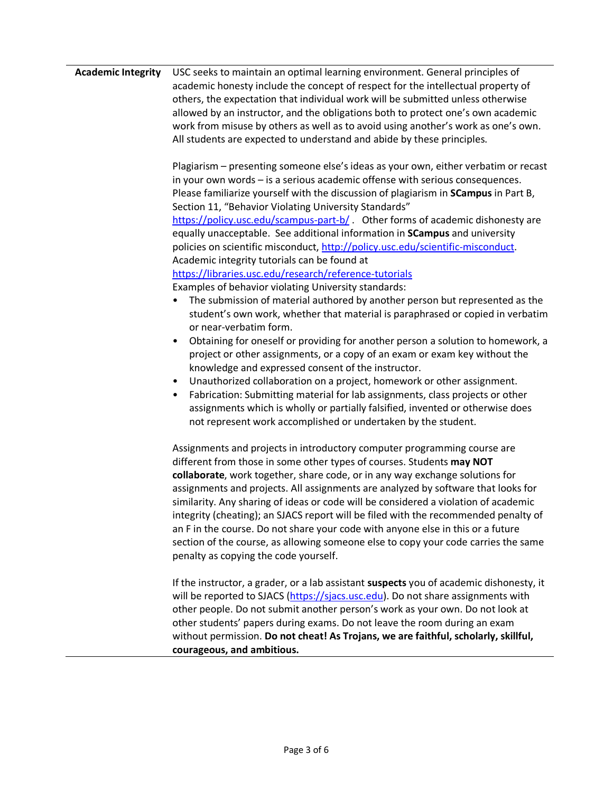### **Academic Integrity** USC seeks to maintain an optimal learning environment. General principles of academic honesty include the concept of respect for the intellectual property of others, the expectation that individual work will be submitted unless otherwise allowed by an instructor, and the obligations both to protect one's own academic work from misuse by others as well as to avoid using another's work as one's own. All students are expected to understand and abide by these principles.

Plagiarism – presenting someone else's ideas as your own, either verbatim or recast in your own words – is a serious academic offense with serious consequences. Please familiarize yourself with the discussion of plagiarism in **SCampus** in Part B, Section 11, "Behavior Violating University Standards"

https://policy.usc.edu/scampus-part-b/. Other forms of academic dishonesty are equally unacceptable. See additional information in **SCampus** and university policies on scientific misconduct, http://policy.usc.edu/scientific-misconduct. Academic integrity tutorials can be found at

https://libraries.usc.edu/research/reference-tutorials

Examples of behavior violating University standards:

- The submission of material authored by another person but represented as the student's own work, whether that material is paraphrased or copied in verbatim or near-verbatim form.
- Obtaining for oneself or providing for another person a solution to homework, a project or other assignments, or a copy of an exam or exam key without the knowledge and expressed consent of the instructor.
- Unauthorized collaboration on a project, homework or other assignment.
- Fabrication: Submitting material for lab assignments, class projects or other assignments which is wholly or partially falsified, invented or otherwise does not represent work accomplished or undertaken by the student.

Assignments and projects in introductory computer programming course are different from those in some other types of courses. Students **may NOT collaborate**, work together, share code, or in any way exchange solutions for assignments and projects. All assignments are analyzed by software that looks for similarity. Any sharing of ideas or code will be considered a violation of academic integrity (cheating); an SJACS report will be filed with the recommended penalty of an F in the course. Do not share your code with anyone else in this or a future section of the course, as allowing someone else to copy your code carries the same penalty as copying the code yourself.

If the instructor, a grader, or a lab assistant **suspects** you of academic dishonesty, it will be reported to SJACS (https://sjacs.usc.edu). Do not share assignments with other people. Do not submit another person's work as your own. Do not look at other students' papers during exams. Do not leave the room during an exam without permission. **Do not cheat! As Trojans, we are faithful, scholarly, skillful, courageous, and ambitious.**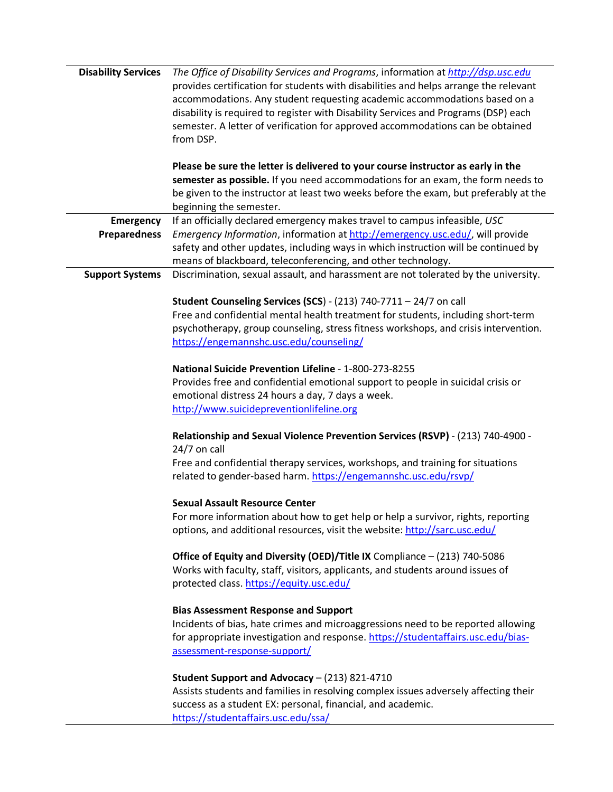| <b>Disability Services</b>                                                           | The Office of Disability Services and Programs, information at http://dsp.usc.edu    |  |  |
|--------------------------------------------------------------------------------------|--------------------------------------------------------------------------------------|--|--|
| provides certification for students with disabilities and helps arrange the relevant |                                                                                      |  |  |
|                                                                                      | accommodations. Any student requesting academic accommodations based on a            |  |  |
|                                                                                      | disability is required to register with Disability Services and Programs (DSP) each  |  |  |
|                                                                                      | semester. A letter of verification for approved accommodations can be obtained       |  |  |
|                                                                                      | from DSP.                                                                            |  |  |
|                                                                                      |                                                                                      |  |  |
|                                                                                      |                                                                                      |  |  |
|                                                                                      | Please be sure the letter is delivered to your course instructor as early in the     |  |  |
|                                                                                      | semester as possible. If you need accommodations for an exam, the form needs to      |  |  |
|                                                                                      | be given to the instructor at least two weeks before the exam, but preferably at the |  |  |
|                                                                                      | beginning the semester.                                                              |  |  |
| <b>Emergency</b>                                                                     | If an officially declared emergency makes travel to campus infeasible, USC           |  |  |
| <b>Preparedness</b>                                                                  | Emergency Information, information at http://emergency.usc.edu/, will provide        |  |  |
|                                                                                      | safety and other updates, including ways in which instruction will be continued by   |  |  |
|                                                                                      | means of blackboard, teleconferencing, and other technology.                         |  |  |
| <b>Support Systems</b>                                                               | Discrimination, sexual assault, and harassment are not tolerated by the university.  |  |  |
|                                                                                      |                                                                                      |  |  |
|                                                                                      | Student Counseling Services (SCS) - (213) 740-7711 - 24/7 on call                    |  |  |
|                                                                                      | Free and confidential mental health treatment for students, including short-term     |  |  |
|                                                                                      |                                                                                      |  |  |
|                                                                                      | psychotherapy, group counseling, stress fitness workshops, and crisis intervention.  |  |  |
|                                                                                      | https://engemannshc.usc.edu/counseling/                                              |  |  |
|                                                                                      |                                                                                      |  |  |
|                                                                                      | National Suicide Prevention Lifeline - 1-800-273-8255                                |  |  |
|                                                                                      | Provides free and confidential emotional support to people in suicidal crisis or     |  |  |
|                                                                                      | emotional distress 24 hours a day, 7 days a week.                                    |  |  |
|                                                                                      | http://www.suicidepreventionlifeline.org                                             |  |  |
|                                                                                      |                                                                                      |  |  |
|                                                                                      | Relationship and Sexual Violence Prevention Services (RSVP) - (213) 740-4900 -       |  |  |
|                                                                                      | 24/7 on call                                                                         |  |  |
|                                                                                      | Free and confidential therapy services, workshops, and training for situations       |  |  |
|                                                                                      | related to gender-based harm. https://engemannshc.usc.edu/rsvp/                      |  |  |
|                                                                                      |                                                                                      |  |  |
|                                                                                      | <b>Sexual Assault Resource Center</b>                                                |  |  |
|                                                                                      | For more information about how to get help or help a survivor, rights, reporting     |  |  |
|                                                                                      | options, and additional resources, visit the website: http://sarc.usc.edu/           |  |  |
|                                                                                      | Office of Equity and Diversity (OED)/Title IX Compliance - (213) 740-5086            |  |  |
|                                                                                      |                                                                                      |  |  |
|                                                                                      | Works with faculty, staff, visitors, applicants, and students around issues of       |  |  |
|                                                                                      | protected class. https://equity.usc.edu/                                             |  |  |
|                                                                                      | <b>Bias Assessment Response and Support</b>                                          |  |  |
|                                                                                      | Incidents of bias, hate crimes and microaggressions need to be reported allowing     |  |  |
|                                                                                      |                                                                                      |  |  |
| for appropriate investigation and response. https://studentaffairs.usc.edu/bias-     |                                                                                      |  |  |
|                                                                                      | assessment-response-support/                                                         |  |  |
|                                                                                      | Student Support and Advocacy - (213) 821-4710                                        |  |  |
| Assists students and families in resolving complex issues adversely affecting their  |                                                                                      |  |  |
|                                                                                      | success as a student EX: personal, financial, and academic.                          |  |  |
|                                                                                      | https://studentaffairs.usc.edu/ssa/                                                  |  |  |
|                                                                                      |                                                                                      |  |  |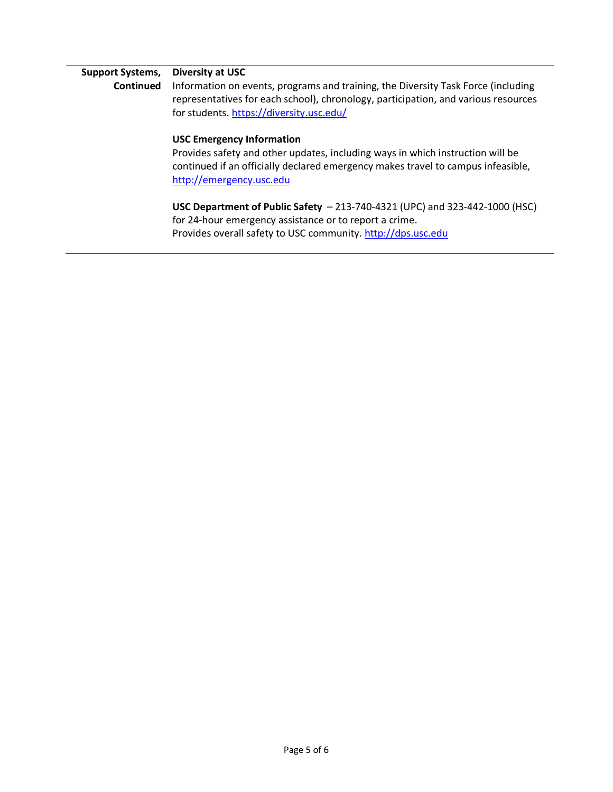#### **Support Systems, Diversity at USC**

**Continued**

Information on events, programs and training, the Diversity Task Force (including representatives for each school), chronology, participation, and various resources for students. https://diversity.usc.edu/

#### **USC Emergency Information**

Provides safety and other updates, including ways in which instruction will be continued if an officially declared emergency makes travel to campus infeasible, http://emergency.usc.edu

**USC Department of Public Safety** – 213-740-4321 (UPC) and 323-442-1000 (HSC) for 24-hour emergency assistance or to report a crime. Provides overall safety to USC community. http://dps.usc.edu